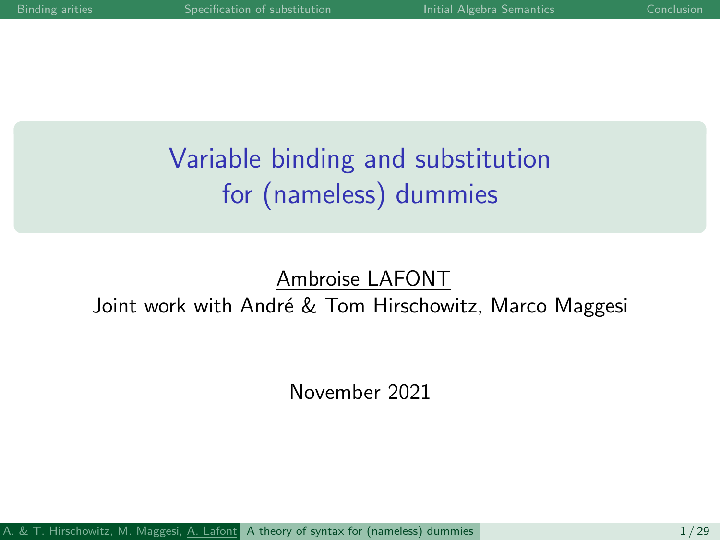# <span id="page-0-0"></span>Variable binding and substitution for (nameless) dummies

### Ambroise LAFONT

#### Joint work with André & Tom Hirschowitz, Marco Maggesi

November 2021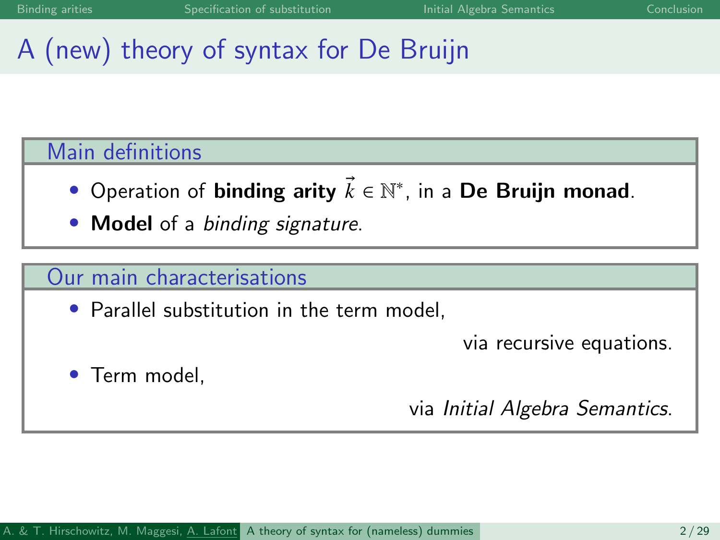# A (new) theory of syntax for De Bruijn

#### Main definitions

- Operation of binding arity  $\vec{k} \in \mathbb{N}^*$ , in a De Bruijn monad.
- **Model** of a binding signature.

#### Our main characterisations

• Parallel substitution in the term model.

via recursive equations.

Term model.

via Initial Algebra Semantics.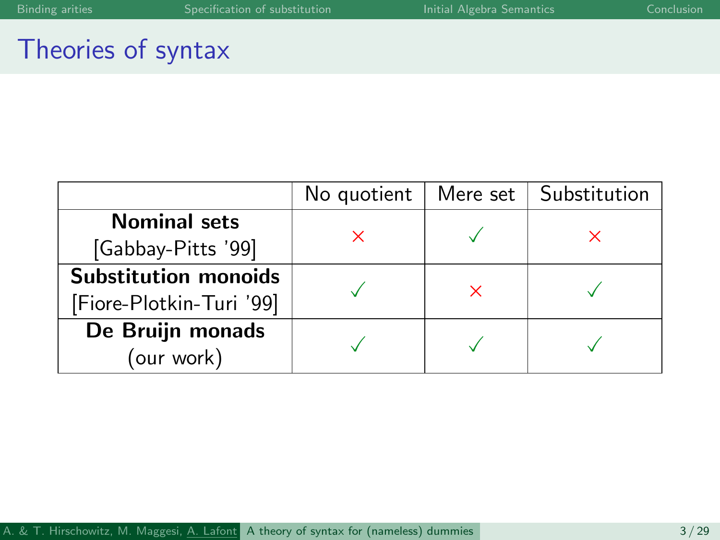### Theories of syntax

|                             | No quotient | Mere set | Substitution |  |
|-----------------------------|-------------|----------|--------------|--|
| <b>Nominal sets</b>         |             |          |              |  |
| [Gabbay-Pitts '99]          |             |          |              |  |
| <b>Substitution monoids</b> |             |          |              |  |
| [Fiore-Plotkin-Turi '99]    |             |          |              |  |
| De Bruijn monads            |             |          |              |  |
| (our work)                  |             |          |              |  |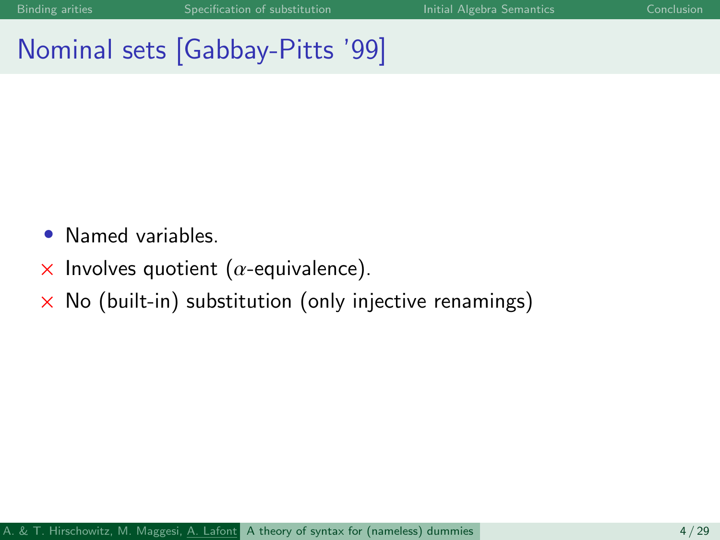# Nominal sets [Gabbay-Pitts '99]

- Named variables.
- $\times$  Involves quotient ( $\alpha$ -equivalence).
- $\times$  No (built-in) substitution (only injective renamings)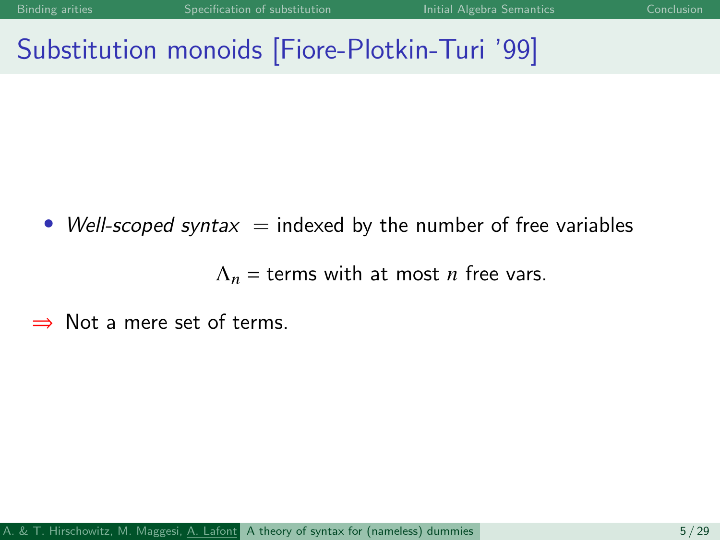# Substitution monoids [Fiore-Plotkin-Turi '99]

• Well-scoped syntax  $=$  indexed by the number of free variables

 $\Lambda_n$  = terms with at most *n* free vars.

⇒ Not a mere set of terms.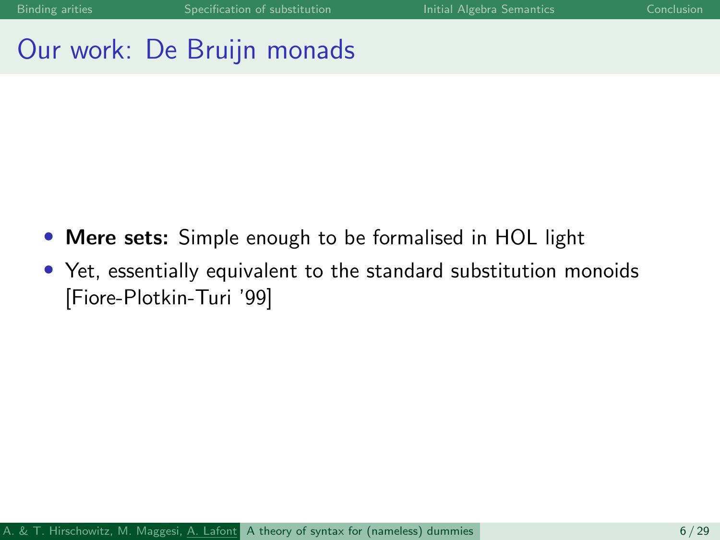### Our work: De Bruijn monads

- Mere sets: Simple enough to be formalised in HOL light
- Yet, essentially equivalent to the standard substitution monoids [Fiore-Plotkin-Turi '99]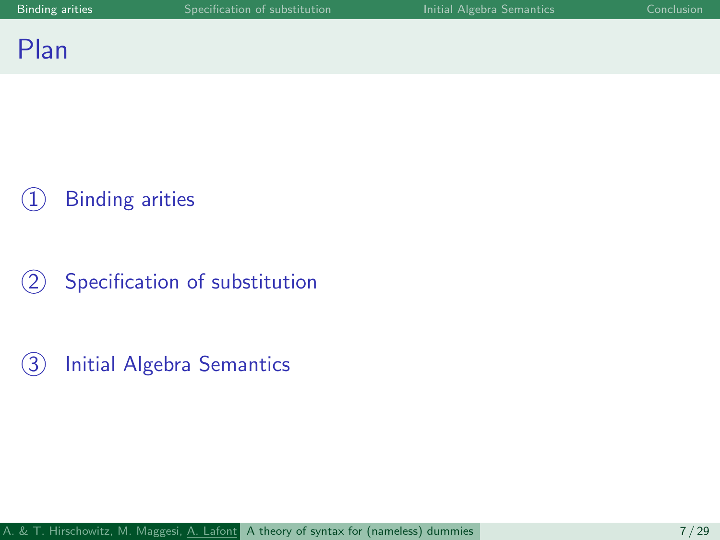### <span id="page-6-0"></span>Plan

## **[Binding arities](#page-6-0)**

2 [Specification of substitution](#page-12-0)

3 [Initial Algebra Semantics](#page-15-0)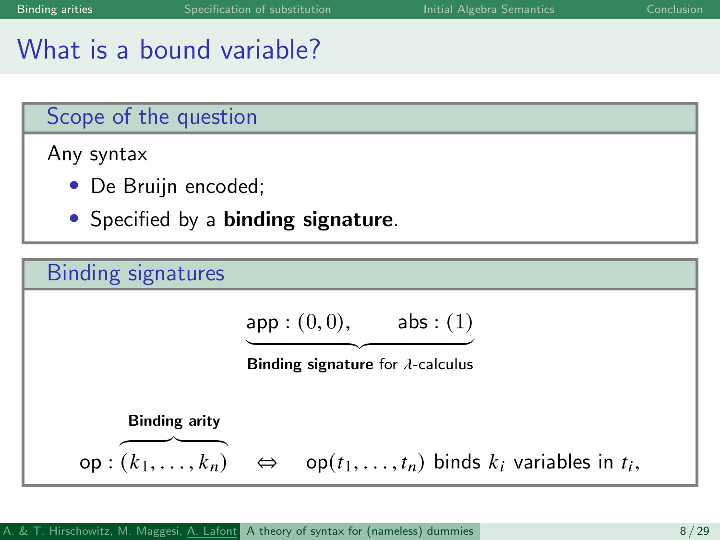# What is a bound variable?

#### Scope of the question

Any syntax

- De Bruijn encoded;
- Specified by a **binding signature**.

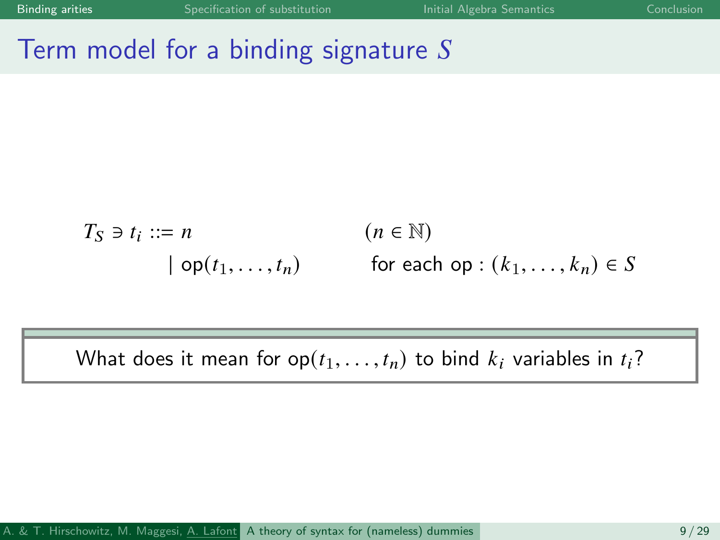## Term model for a binding signature  $S$

$$
T_S \ni t_i ::= n \qquad (n \in \mathbb{N})
$$
  
 
$$
\mid op(t_1, ..., t_n) \qquad \text{for each op} : (k_1, ..., k_n) \in S
$$

What does it mean for  $op(t_1, \ldots, t_n)$  to bind  $k_i$  variables in  $t_i$ ?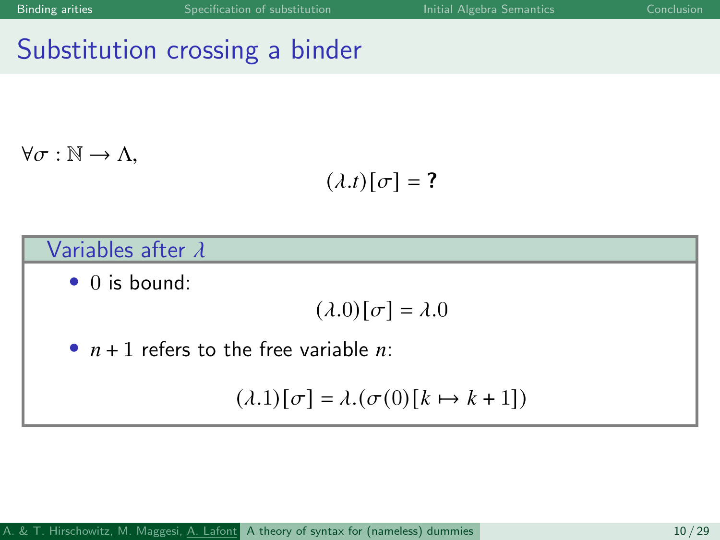## Substitution crossing a binder

 $\forall \sigma : \mathbb{N} \to \Lambda$ .

$$
(\lambda.t)[\sigma]=?
$$

#### Variables after  $\lambda$

• 0 is bound:

$$
(\lambda.0)[\sigma]=\lambda.0
$$

•  $n + 1$  refers to the free variable  $n$ .

$$
(\lambda.1)[\sigma] = \lambda.(\sigma(0)[k \mapsto k+1])
$$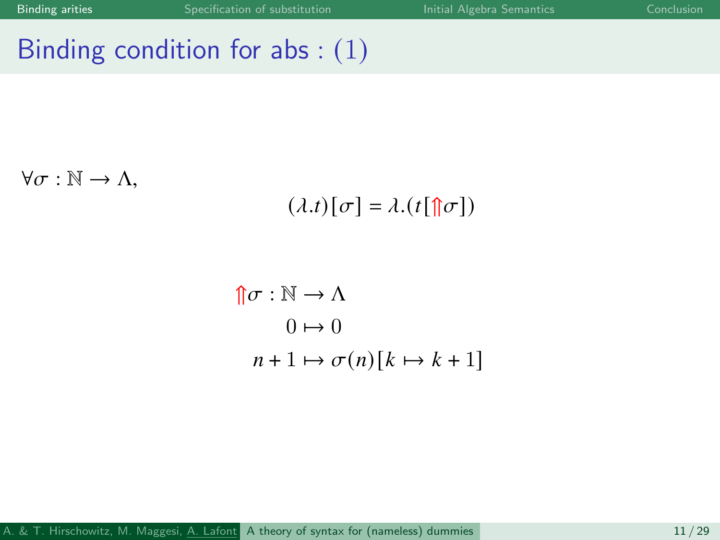# Binding condition for abs : (1)

 $\forall \sigma : \mathbb{N} \to \Lambda$ ,

$$
(\lambda.t)[\sigma]=\lambda.(t[\mathop{\Uparrow}\!\!\!\!\uparrow\!\!\!\!\sigma])
$$

$$
\begin{aligned} \n\uparrow \sigma : \mathbb{N} &\to \Lambda \\ \n0 &\mapsto 0 \\ \nn + 1 &\mapsto \sigma(n)[k \mapsto k + 1] \n\end{aligned}
$$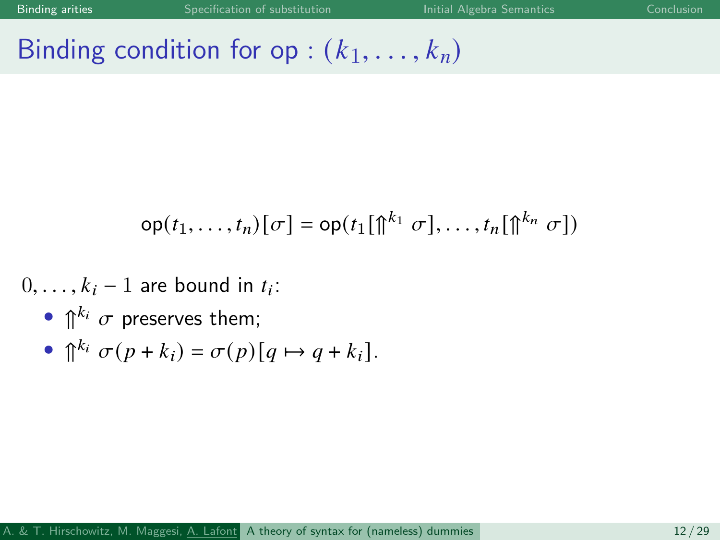# Binding condition for op :  $(k_1, \ldots, k_n)$

$$
\mathsf{op}(t_1,\ldots,t_n)[\sigma] = \mathsf{op}(t_1[\hat{\mathbb{p}}^{k_1} \sigma],\ldots,t_n[\hat{\mathbb{p}}^{k_n} \sigma])
$$

- $0, \ldots, k_i 1$  are bound in  $t_i$ :
	- $\bigcap^{k_i} \sigma$  preserves them;

• 
$$
\bigcap^{k_i} \sigma(p+k_i) = \sigma(p)[q \mapsto q+k_i].
$$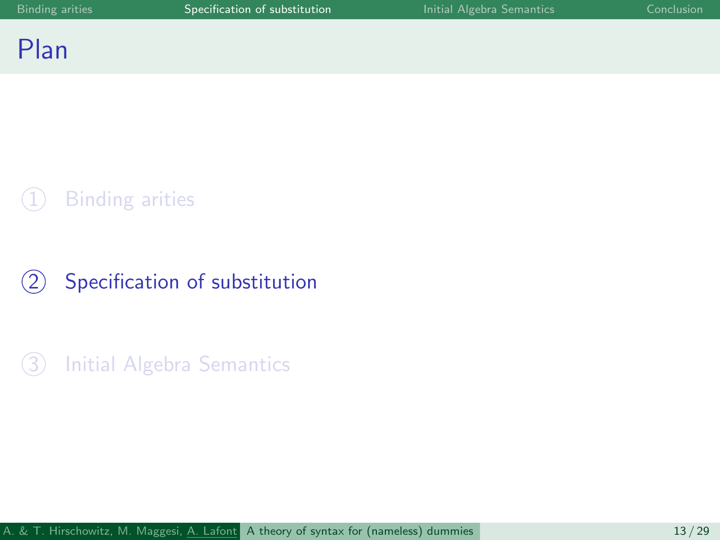### <span id="page-12-0"></span>Plan

### **[Binding arities](#page-6-0)**

### 2 [Specification of substitution](#page-12-0)

3 [Initial Algebra Semantics](#page-15-0)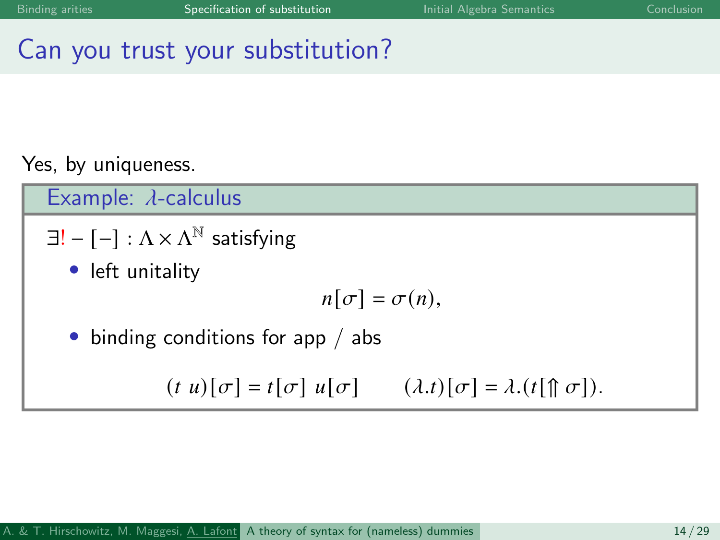# Can you trust your substitution?

### Yes, by uniqueness.

Example:  $\lambda$ -calculus

- $\exists ! [-] : \Lambda \times \Lambda^{\mathbb{N}}$  satisfying
	- left unitality

$$
n[\sigma]=\sigma(n),
$$

• binding conditions for app / abs

 $(t, u)[\sigma] = t[\sigma] u[\sigma]$   $(\lambda \cdot t)[\sigma] = \lambda \cdot (t[\hat{\mathcal{T}} \sigma]).$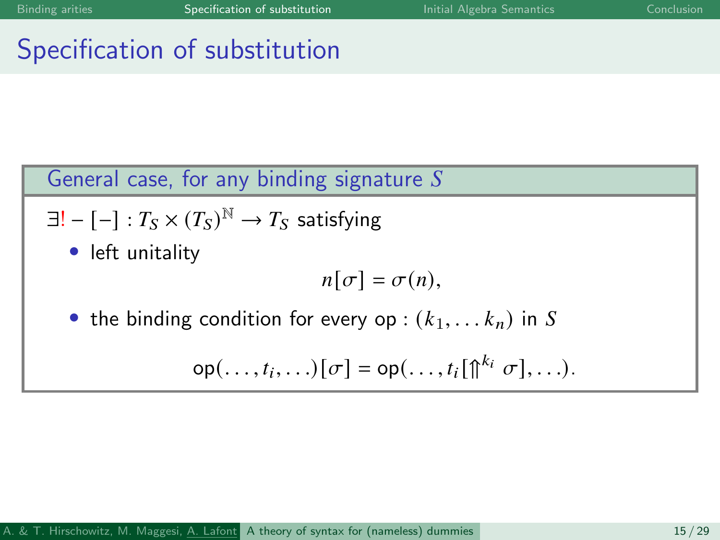## Specification of substitution

### General case, for any binding signature  $S$

$$
\exists! - [-] : T_S \times (T_S)^{\mathbb{N}} \to T_S \text{ satisfying}
$$

• left unitality

$$
n[\sigma]=\sigma(n),
$$

the binding condition for every op :  $(k_1, \ldots k_n)$  in S

$$
\mathsf{op}(\ldots,t_i,\ldots)[\sigma] = \mathsf{op}(\ldots,t_i[\mathbb{p}^{k_i} \sigma],\ldots).
$$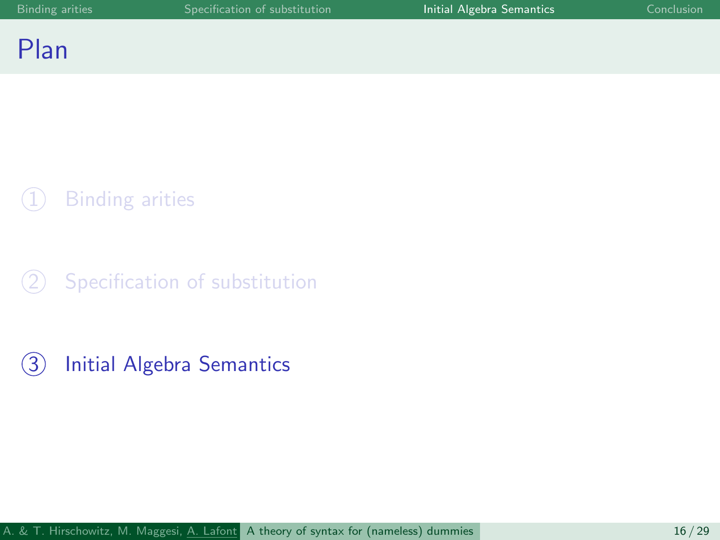### <span id="page-15-0"></span>Plan

### **[Binding arities](#page-6-0)**

 $(2)$  [Specification of substitution](#page-12-0)

3 [Initial Algebra Semantics](#page-15-0)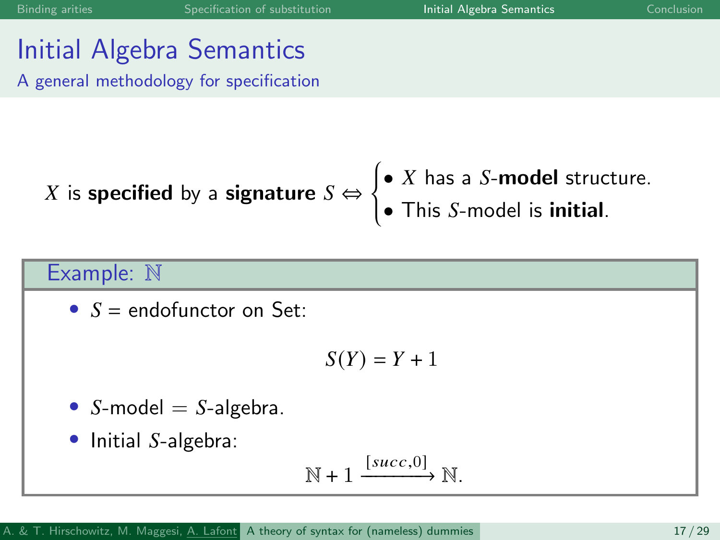### Initial Algebra Semantics A general methodology for specification

X is specified by a signature 
$$
S \Leftrightarrow \begin{cases} \bullet & \text{X has a } S \text{-model structure.} \\ \bullet & \text{This } S \text{-model is initial.} \end{cases}
$$

### Example: N

•  $S =$  endofunctor on Set:

$$
S(Y) = Y + 1
$$

• -model = -algebra.

Initial  $S$ -algebra:

$$
\mathbb{N} + 1 \xrightarrow{[succ,0]} \mathbb{N}.
$$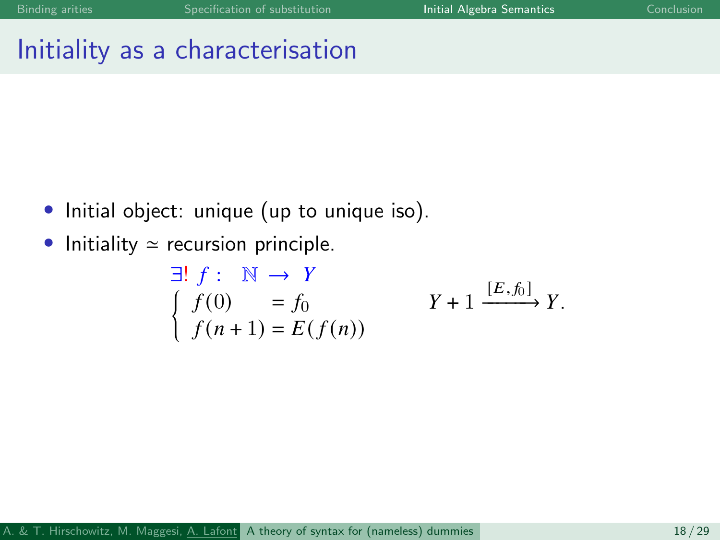### Initiality as a characterisation

- Initial object: unique (up to unique iso).
- Initiality  $\simeq$  recursion principle.

$$
\begin{array}{ll}\n\exists! \ f: \mathbb{N} \to Y \\
\int f(0) & = f_0 \\
f(n+1) = E(f(n))\n\end{array} \qquad Y + 1 \xrightarrow{[E,f_0]} Y.
$$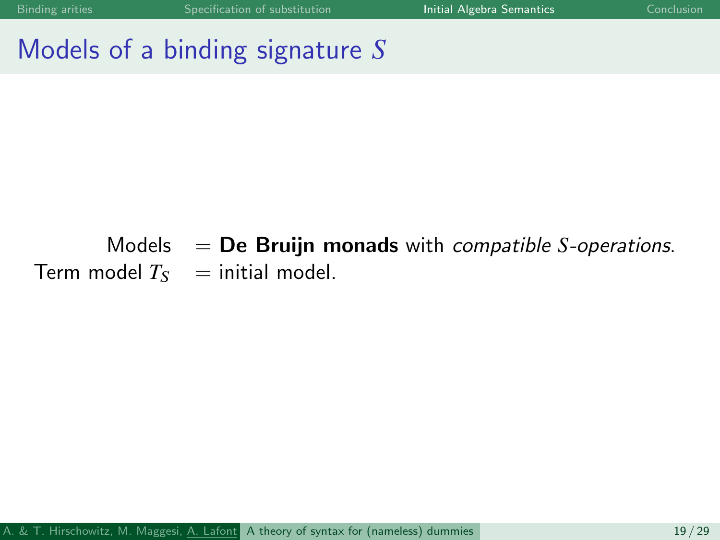### Models of a binding signature  $S$

### Models  $=$  **De Bruijn monads** with *compatible S-operations*. Term model  $T_S$  = initial model.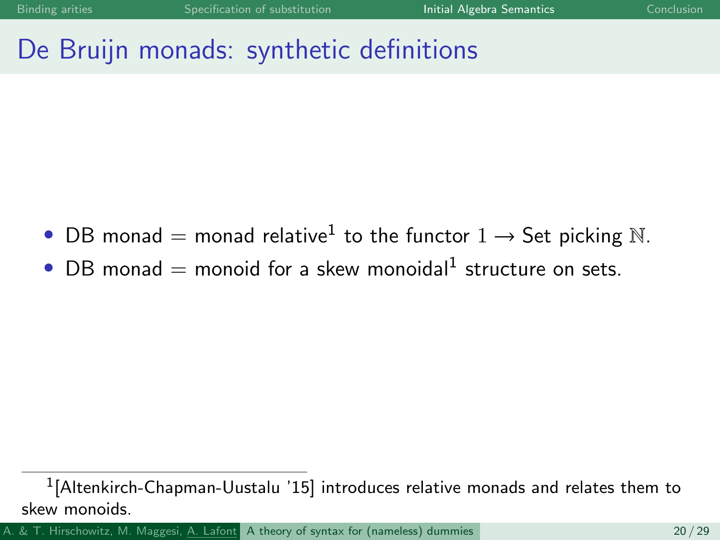## De Bruijn monads: synthetic definitions

- DB monad = monad relative<sup>1</sup> to the functor  $1 \rightarrow$  Set picking N.
- $\bullet$  DB monad = monoid for a skew monoidal<sup>1</sup> structure on sets.

A. & T. Hirschowitz, M. Maggesi, A. Lafont [A theory of syntax for \(nameless\) dummies](#page-0-0) 20 / 29

 $^1$ [Altenkirch-Chapman-Uustalu '15] introduces relative monads and relates them to skew monoids.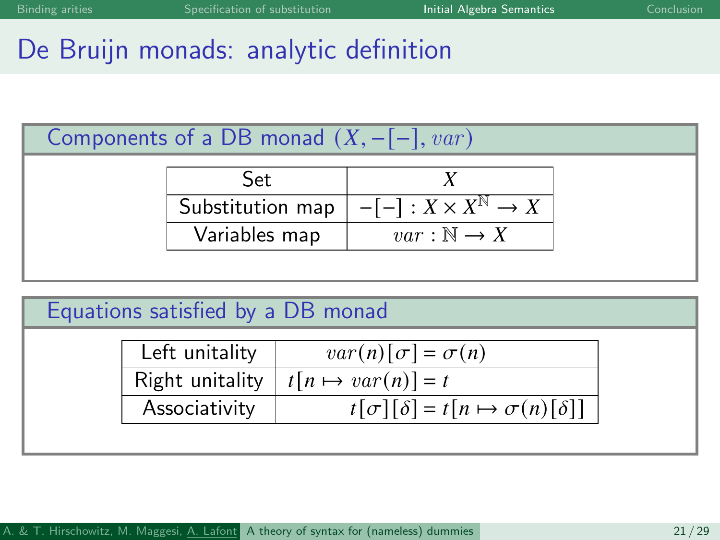# De Bruijn monads: analytic definition

| Components of a DB monad $(X, -[-], var)$ |  |  |  |  |  |  |  |
|-------------------------------------------|--|--|--|--|--|--|--|
|-------------------------------------------|--|--|--|--|--|--|--|

| Set              |                                       |
|------------------|---------------------------------------|
| Substitution map | $-[-]: X \times X^{\mathbb{N}} \to X$ |
| Variables map    | $var : \mathbb{N} \to X$              |

### Equations satisfied by a DB monad

| Left unitality  | $var(n)[\sigma] = \sigma(n)$                         |
|-----------------|------------------------------------------------------|
| Right unitality | $\mid t[n \mapsto var(n)] = t$                       |
| Associativity   | $t[\sigma][\delta] = t[n \mapsto \sigma(n)[\delta]]$ |
|                 |                                                      |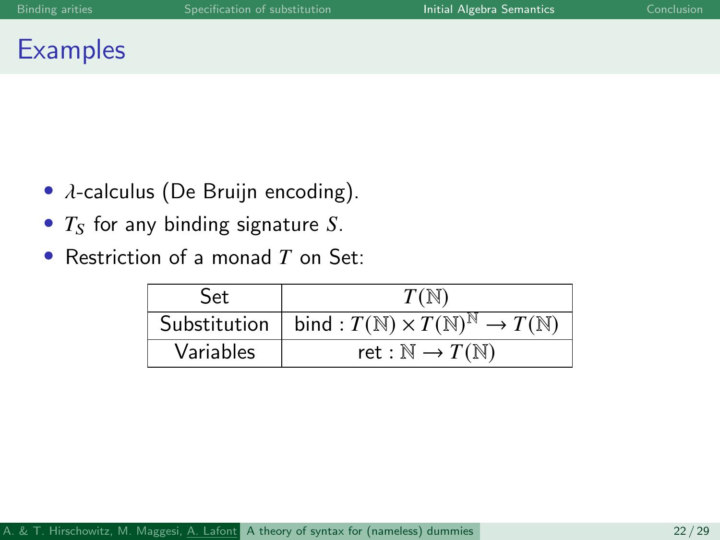### **Examples**

- $\lambda$ -calculus (De Bruijn encoding).
- $T<sub>S</sub>$  for any binding signature S.
- Restriction of a monad  $T$  on Set:

| Set       | $T(\mathbb{N})$                                                                           |
|-----------|-------------------------------------------------------------------------------------------|
|           | Substitution   bind : $T(\mathbb{N}) \times T(\mathbb{N})^{\mathbb{N}} \to T(\mathbb{N})$ |
| Variables | ret : $\mathbb{N} \to T(\mathbb{N})$                                                      |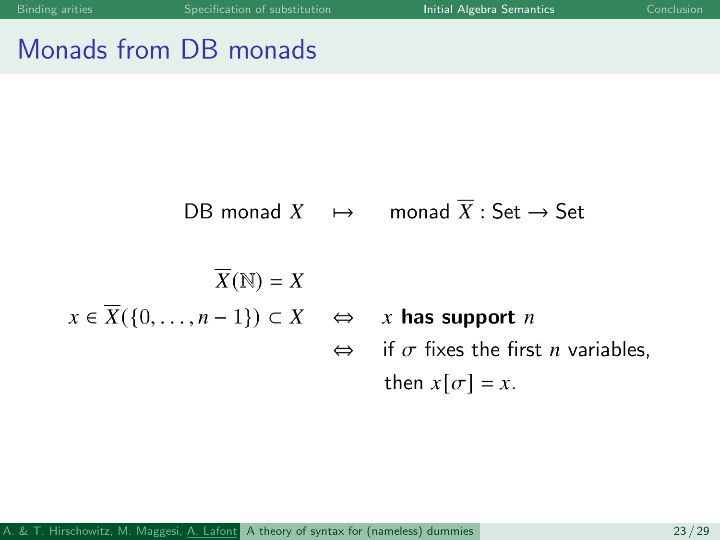# Monads from DB monads

$$
\text{DB monad } X \quad \mapsto \quad \text{monad } \overline{X} : \text{Set} \to \text{Set}
$$
\n
$$
\overline{X}(\mathbb{N}) = X
$$
\n
$$
x \in \overline{X}(\{0, \dots, n-1\}) \subset X \quad \Leftrightarrow \quad x \text{ has support } n
$$
\n
$$
\Leftrightarrow \quad \text{if } \sigma \text{ fixes the first } n \text{ variables,}
$$
\n
$$
\text{then } x[\sigma] = x.
$$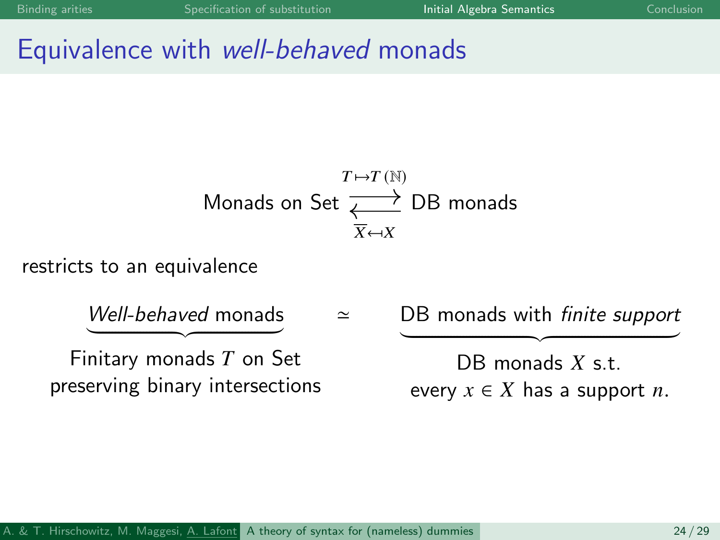### Equivalence with well-behaved monads

$$
\begin{array}{r}\nT \mapsto T \text{ (N)} \\
\longrightarrow \\
\text{Monads on Set} \xrightarrow{\chi} \text{DB monads} \\
\hline\n\overline{X} \mapsto X\n\end{array}
$$

restricts to an equivalence

Well-behaved monads  $\overline{\phantom{a}}$  Finitary monads  $T$  on Set preserving binary intersections  $\simeq$ DB monads with *finite support*  $\overline{\text{DB} \text{ monads } X \text{ s.t.}}$ every  $x \in X$  has a support *n*.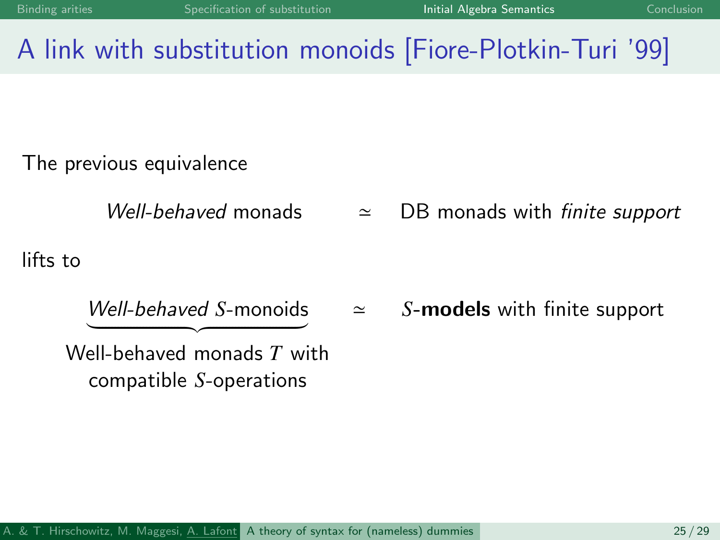# A link with substitution monoids [Fiore-Plotkin-Turi '99]

The previous equivalence

Well-behaved monads  $\approx$  DB monads with finite support

 $\simeq$ 

lifts to

 $Well-behaved$  S-monoids

S-models with finite support

 $\overbrace{z}$  Well-behaved monads  $\overline{T}$  with  $compatible$   $S$ -operations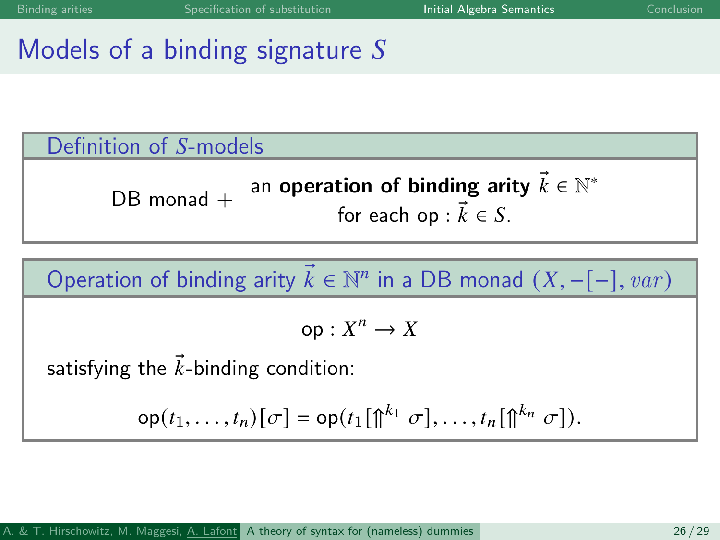## Models of a binding signature  $S$



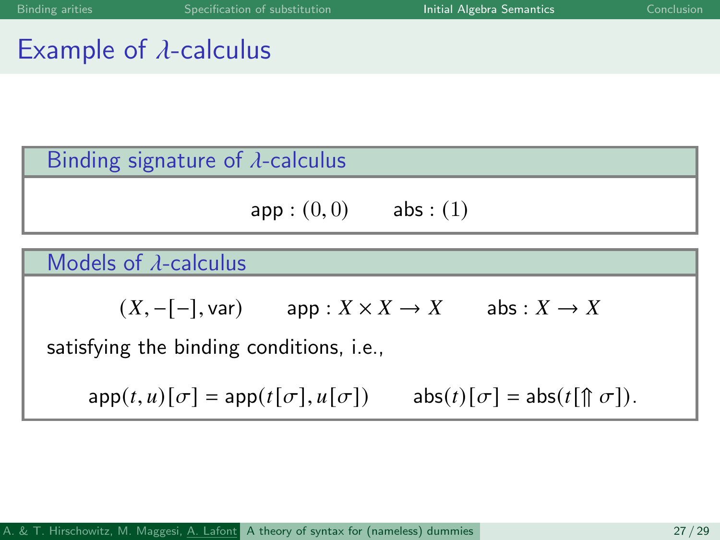## Example of  $\lambda$ -calculus

#### Binding signature of  $\lambda$ -calculus

$$
\mathsf{app} : (0,0) \qquad \mathsf{abs} : (1)
$$

#### Models of  $\lambda$ -calculus

$$
(X, -[-], \text{var})
$$
 app :  $X \times X \to X$  abs :  $X \to X$ 

satisfying the binding conditions, i.e.,

 $app(t, u)[\sigma] = app(t[\sigma], u[\sigma])$  abs(t)[ $\sigma$ ] = abs(t[ $\Uparrow \sigma$ ]).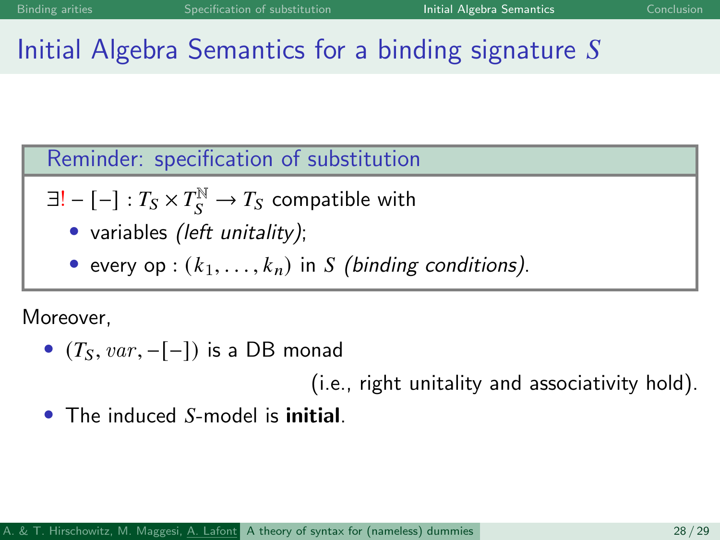# Initial Algebra Semantics for a binding signature  $S$

Reminder: specification of substitution

- $\exists ! [-] : T_S \times T_S^{\mathbb{N}} \to T_S$  compatible with
	- variables *(left unitality)*;
	- every op :  $(k_1, \ldots, k_n)$  in *S* (binding conditions).

Moreover,

•  $(T<sub>S</sub>, var, -[-])$  is a DB monad

(i.e., right unitality and associativity hold).

The induced S-model is **initial**.